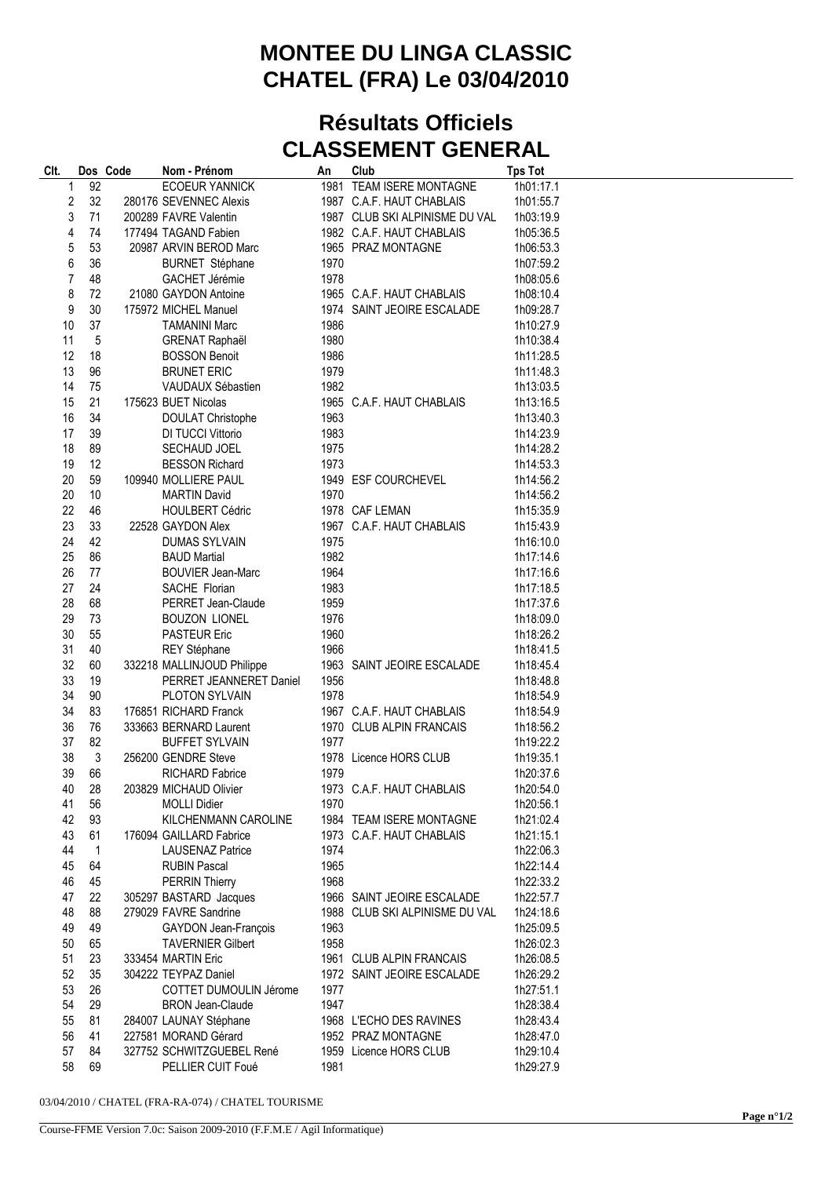## **MONTEE DU LINGA CLASSIC CHATEL (FRA) Le 03/04/2010**

## **Résultats Officiels CLASSEMENT GENERAL**

| Clt.     |              | Dos Code | Nom - Prénom                            | An   | Club                           | <b>Tps Tot</b> |
|----------|--------------|----------|-----------------------------------------|------|--------------------------------|----------------|
| 1        | 92           |          | <b>ECOEUR YANNICK</b>                   |      | 1981 TEAM ISERE MONTAGNE       | 1h01:17.1      |
| 2        | 32           |          | 280176 SEVENNEC Alexis                  |      | 1987 C.A.F. HAUT CHABLAIS      | 1h01:55.7      |
| 3        | 71           |          | 200289 FAVRE Valentin                   |      | 1987 CLUB SKI ALPINISME DU VAL | 1h03:19.9      |
| 4        | 74           |          | 177494 TAGAND Fabien                    |      | 1982 C.A.F. HAUT CHABLAIS      | 1h05:36.5      |
| 5        | 53           |          | 20987 ARVIN BEROD Marc                  |      | 1965 PRAZ MONTAGNE             | 1h06:53.3      |
| 6        | 36           |          | <b>BURNET Stéphane</b>                  | 1970 |                                | 1h07:59.2      |
| 7        | 48           |          | GACHET Jérémie                          | 1978 |                                | 1h08:05.6      |
| 8        | 72           |          | 21080 GAYDON Antoine                    |      | 1965 C.A.F. HAUT CHABLAIS      | 1h08:10.4      |
| 9        | 30           |          | 175972 MICHEL Manuel                    |      | 1974 SAINT JEOIRE ESCALADE     | 1h09:28.7      |
| 10       | 37           |          | <b>TAMANINI Marc</b>                    | 1986 |                                | 1h10:27.9      |
| 11       | 5            |          | <b>GRENAT Raphaël</b>                   | 1980 |                                | 1h10:38.4      |
| 12       | 18           |          | <b>BOSSON Benoit</b>                    | 1986 |                                | 1h11:28.5      |
| 13       | 96           |          | <b>BRUNET ERIC</b>                      | 1979 |                                | 1h11:48.3      |
| 14       | 75           |          | VAUDAUX Sébastien                       | 1982 |                                | 1h13:03.5      |
| 15       | 21           |          | 175623 BUET Nicolas                     |      | 1965 C.A.F. HAUT CHABLAIS      | 1h13:16.5      |
| 16       | 34           |          | <b>DOULAT Christophe</b>                | 1963 |                                | 1h13:40.3      |
| 17       | 39           |          | DI TUCCI Vittorio                       | 1983 |                                | 1h14:23.9      |
| 18       | 89           |          | SECHAUD JOEL                            | 1975 |                                | 1h14:28.2      |
| 19       | 12           |          |                                         | 1973 |                                | 1h14:53.3      |
|          |              |          | <b>BESSON Richard</b>                   |      |                                |                |
| 20       | 59           |          | 109940 MOLLIERE PAUL                    |      | 1949 ESF COURCHEVEL            | 1h14:56.2      |
| 20<br>22 | 10           |          | <b>MARTIN David</b>                     | 1970 | 1978 CAF LEMAN                 | 1h14:56.2      |
|          | 46           |          | <b>HOULBERT Cédric</b>                  |      |                                | 1h15:35.9      |
| 23       | 33           |          | 22528 GAYDON Alex                       |      | 1967 C.A.F. HAUT CHABLAIS      | 1h15:43.9      |
| 24       | 42           |          | <b>DUMAS SYLVAIN</b>                    | 1975 |                                | 1h16:10.0      |
| 25       | 86           |          | <b>BAUD Martial</b>                     | 1982 |                                | 1h17:14.6      |
| 26       | 77           |          | <b>BOUVIER Jean-Marc</b>                | 1964 |                                | 1h17:16.6      |
| 27       | 24           |          | SACHE Florian                           | 1983 |                                | 1h17:18.5      |
| 28       | 68           |          | PERRET Jean-Claude                      | 1959 |                                | 1h17:37.6      |
| 29       | 73           |          | <b>BOUZON LIONEL</b>                    | 1976 |                                | 1h18:09.0      |
| 30       | 55           |          | <b>PASTEUR Eric</b>                     | 1960 |                                | 1h18:26.2      |
| 31       | 40           |          | REY Stéphane                            | 1966 |                                | 1h18:41.5      |
| 32       | 60           |          | 332218 MALLINJOUD Philippe              |      | 1963 SAINT JEOIRE ESCALADE     | 1h18:45.4      |
| 33       | 19           |          | PERRET JEANNERET Daniel                 | 1956 |                                | 1h18:48.8      |
| 34       | 90           |          | PLOTON SYLVAIN<br>176851 RICHARD Franck | 1978 |                                | 1h18:54.9      |
| 34       | 83           |          |                                         |      | 1967 C.A.F. HAUT CHABLAIS      | 1h18:54.9      |
| 36       | 76           |          | 333663 BERNARD Laurent                  |      | 1970 CLUB ALPIN FRANCAIS       | 1h18:56.2      |
| 37       | 82           |          | <b>BUFFET SYLVAIN</b>                   | 1977 | 1978 Licence HORS CLUB         | 1h19:22.2      |
| 38       | 3<br>66      |          | 256200 GENDRE Steve                     |      |                                | 1h19:35.1      |
| 39       | 28           |          | <b>RICHARD Fabrice</b>                  | 1979 |                                | 1h20:37.6      |
| 40       |              |          | 203829 MICHAUD Olivier                  |      | 1973 C.A.F. HAUT CHABLAIS      | 1h20:54.0      |
| 41       | 56           |          | <b>MOLLI Didier</b>                     | 1970 |                                | 1h20:56.1      |
| 42       | 93           |          | KILCHENMANN CAROLINE                    |      | 1984 TEAM ISERE MONTAGNE       | 1h21:02.4      |
| 43       | 61           |          | 176094 GAILLARD Fabrice                 |      | 1973 C.A.F. HAUT CHABLAIS      | 1h21:15.1      |
| 44       | $\mathbf{1}$ |          | <b>LAUSENAZ Patrice</b>                 | 1974 |                                | 1h22:06.3      |
| 45       | 64           |          | <b>RUBIN Pascal</b>                     | 1965 |                                | 1h22:14.4      |
| 46       | 45           |          | <b>PERRIN Thierry</b>                   | 1968 |                                | 1h22:33.2      |
| 47       | 22           |          | 305297 BASTARD Jacques                  |      | 1966 SAINT JEOIRE ESCALADE     | 1h22:57.7      |
| 48       | 88           |          | 279029 FAVRE Sandrine                   |      | 1988 CLUB SKI ALPINISME DU VAL | 1h24:18.6      |
| 49       | 49           |          | GAYDON Jean-François                    | 1963 |                                | 1h25:09.5      |
| 50       | 65           |          | <b>TAVERNIER Gilbert</b>                | 1958 |                                | 1h26:02.3      |
| 51       | 23           |          | 333454 MARTIN Eric                      |      | 1961 CLUB ALPIN FRANCAIS       | 1h26:08.5      |
| 52       | 35           |          | 304222 TEYPAZ Daniel                    |      | 1972 SAINT JEOIRE ESCALADE     | 1h26:29.2      |
| 53       | 26           |          | COTTET DUMOULIN Jérome                  | 1977 |                                | 1h27:51.1      |
| 54       | 29           |          | <b>BRON Jean-Claude</b>                 | 1947 |                                | 1h28:38.4      |
| 55       | 81           |          | 284007 LAUNAY Stéphane                  |      | 1968 L'ECHO DES RAVINES        | 1h28:43.4      |
| 56       | 41           |          | 227581 MORAND Gérard                    |      | 1952 PRAZ MONTAGNE             | 1h28:47.0      |
| 57       | 84           |          | 327752 SCHWITZGUEBEL René               |      | 1959 Licence HORS CLUB         | 1h29:10.4      |
| 58       | 69           |          | PELLIER CUIT Foué                       | 1981 |                                | 1h29:27.9      |

03/04/2010 / CHATEL (FRA-RA-074) / CHATEL TOURISME